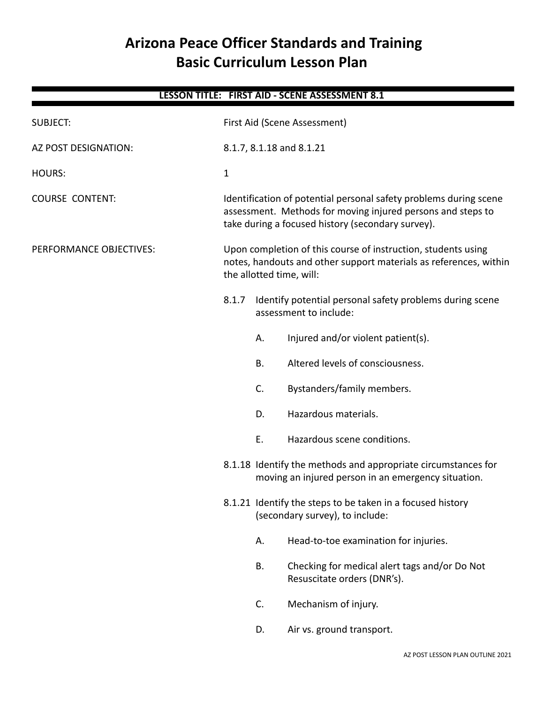# **Arizona Peace Officer Standards and Training Basic Curriculum Lesson Plan**

| LESSON TITLE: FIRST AID - SCENE ASSESSMENT 8.1 |              |                                                                                                                                                                                       |                                                                                                                      |  |  |
|------------------------------------------------|--------------|---------------------------------------------------------------------------------------------------------------------------------------------------------------------------------------|----------------------------------------------------------------------------------------------------------------------|--|--|
| <b>SUBJECT:</b>                                |              | First Aid (Scene Assessment)                                                                                                                                                          |                                                                                                                      |  |  |
| AZ POST DESIGNATION:                           |              | 8.1.7, 8.1.18 and 8.1.21                                                                                                                                                              |                                                                                                                      |  |  |
| <b>HOURS:</b>                                  | $\mathbf{1}$ |                                                                                                                                                                                       |                                                                                                                      |  |  |
| <b>COURSE CONTENT:</b>                         |              | Identification of potential personal safety problems during scene<br>assessment. Methods for moving injured persons and steps to<br>take during a focused history (secondary survey). |                                                                                                                      |  |  |
| PERFORMANCE OBJECTIVES:                        |              | Upon completion of this course of instruction, students using<br>notes, handouts and other support materials as references, within<br>the allotted time, will:                        |                                                                                                                      |  |  |
|                                                | 8.1.7        | Identify potential personal safety problems during scene<br>assessment to include:                                                                                                    |                                                                                                                      |  |  |
|                                                |              | Α.                                                                                                                                                                                    | Injured and/or violent patient(s).                                                                                   |  |  |
|                                                |              | В.                                                                                                                                                                                    | Altered levels of consciousness.                                                                                     |  |  |
|                                                |              | C.                                                                                                                                                                                    | Bystanders/family members.                                                                                           |  |  |
|                                                |              | D.                                                                                                                                                                                    | Hazardous materials.                                                                                                 |  |  |
|                                                |              | Ε.                                                                                                                                                                                    | Hazardous scene conditions.                                                                                          |  |  |
|                                                |              |                                                                                                                                                                                       | 8.1.18 Identify the methods and appropriate circumstances for<br>moving an injured person in an emergency situation. |  |  |
|                                                |              | 8.1.21 Identify the steps to be taken in a focused history<br>(secondary survey), to include:                                                                                         |                                                                                                                      |  |  |
|                                                |              | А.                                                                                                                                                                                    | Head-to-toe examination for injuries.                                                                                |  |  |
|                                                |              | B.                                                                                                                                                                                    | Checking for medical alert tags and/or Do Not<br>Resuscitate orders (DNR's).                                         |  |  |
|                                                |              | C.                                                                                                                                                                                    | Mechanism of injury.                                                                                                 |  |  |
|                                                |              | D.                                                                                                                                                                                    | Air vs. ground transport.                                                                                            |  |  |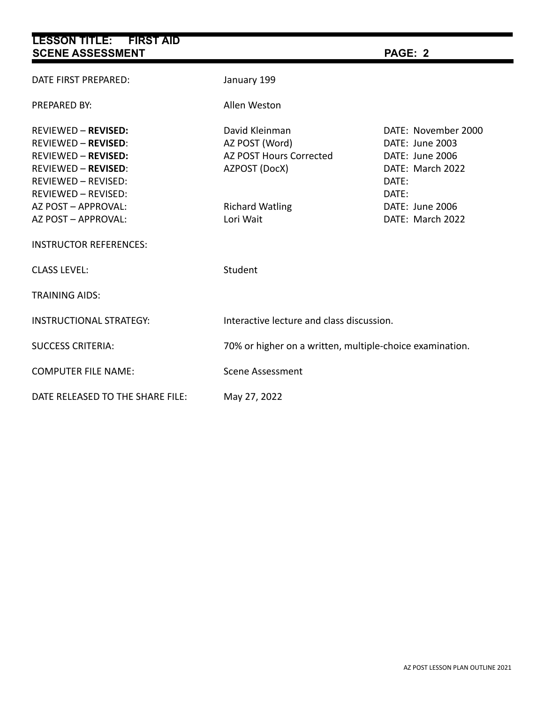| LESSON TITLE: FIRST AID<br><b>SCENE ASSESSMENT</b>                                                                                                                                                                                                              |                                                                                                                            | PAGE: 2                                                                                                                                |  |  |  |
|-----------------------------------------------------------------------------------------------------------------------------------------------------------------------------------------------------------------------------------------------------------------|----------------------------------------------------------------------------------------------------------------------------|----------------------------------------------------------------------------------------------------------------------------------------|--|--|--|
| DATE FIRST PREPARED:                                                                                                                                                                                                                                            | January 199                                                                                                                |                                                                                                                                        |  |  |  |
| <b>PREPARED BY:</b>                                                                                                                                                                                                                                             | Allen Weston                                                                                                               |                                                                                                                                        |  |  |  |
| <b>REVIEWED - REVISED:</b><br><b>REVIEWED - REVISED:</b><br><b>REVIEWED - REVISED:</b><br><b>REVIEWED - REVISED:</b><br><b>REVIEWED - REVISED:</b><br><b>REVIEWED - REVISED:</b><br>AZ POST - APPROVAL:<br>AZ POST - APPROVAL:<br><b>INSTRUCTOR REFERENCES:</b> | David Kleinman<br>AZ POST (Word)<br><b>AZ POST Hours Corrected</b><br>AZPOST (DocX)<br><b>Richard Watling</b><br>Lori Wait | DATE: November 2000<br>DATE: June 2003<br>DATE: June 2006<br>DATE: March 2022<br>DATE:<br>DATE:<br>DATE: June 2006<br>DATE: March 2022 |  |  |  |
| <b>CLASS LEVEL:</b>                                                                                                                                                                                                                                             | Student                                                                                                                    |                                                                                                                                        |  |  |  |
| <b>TRAINING AIDS:</b>                                                                                                                                                                                                                                           |                                                                                                                            |                                                                                                                                        |  |  |  |
| <b>INSTRUCTIONAL STRATEGY:</b>                                                                                                                                                                                                                                  | Interactive lecture and class discussion.                                                                                  |                                                                                                                                        |  |  |  |
| <b>SUCCESS CRITERIA:</b>                                                                                                                                                                                                                                        | 70% or higher on a written, multiple-choice examination.                                                                   |                                                                                                                                        |  |  |  |
| <b>COMPUTER FILE NAME:</b>                                                                                                                                                                                                                                      | <b>Scene Assessment</b>                                                                                                    |                                                                                                                                        |  |  |  |
| DATE RELEASED TO THE SHARE FILE:                                                                                                                                                                                                                                | May 27, 2022                                                                                                               |                                                                                                                                        |  |  |  |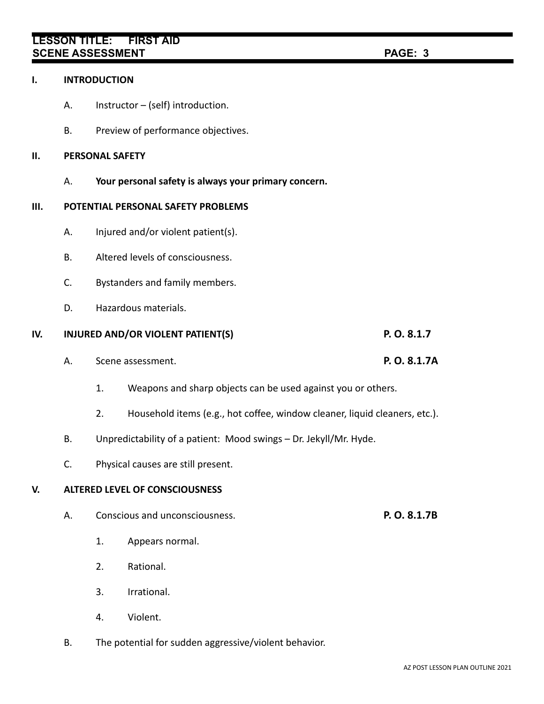# **LESSON TITLE: FIRST AID SCENE ASSESSMENT PAGE: 3**

#### **I. INTRODUCTION**

- A. Instructor (self) introduction.
- B. Preview of performance objectives.

### **II. PERSONAL SAFETY**

A. **Your personal safety is always your primary concern.**

### **III. POTENTIAL PERSONAL SAFETY PROBLEMS**

- A. Injured and/or violent patient(s).
- B. Altered levels of consciousness.
- C. Bystanders and family members.
- D. Hazardous materials.

# **IV. INJURED AND/OR VIOLENT PATIENT(S) P. O. 8.1.7**

- A. Scene assessment. **P. O. 8.1.7A**
	- 1. Weapons and sharp objects can be used against you or others.
	- 2. Household items (e.g., hot coffee, window cleaner, liquid cleaners, etc.).
- B. Unpredictability of a patient: Mood swings Dr. Jekyll/Mr. Hyde.
- C. Physical causes are still present.

# **V. ALTERED LEVEL OF CONSCIOUSNESS**

- A. Conscious and unconsciousness. **P. O. 8.1.7B**
	- 1. Appears normal.
	- 2. Rational.
	- 3. Irrational.
	- 4. Violent.
- B. The potential for sudden aggressive/violent behavior.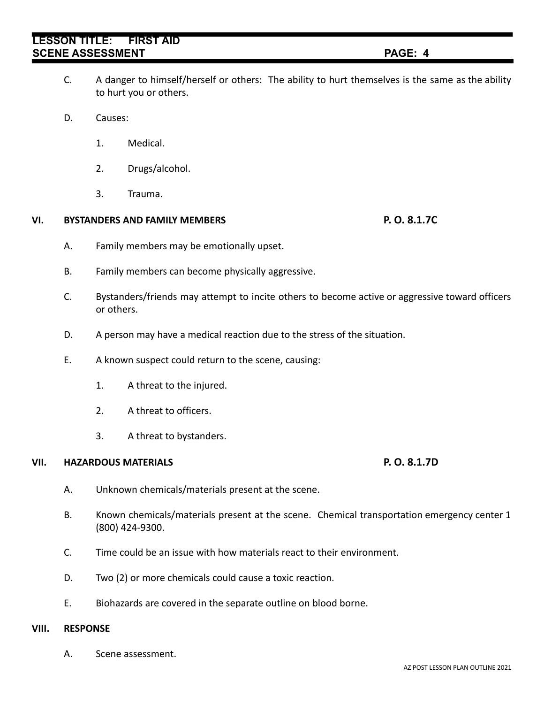# **LESSON TITLE: FIRST AID SCENE ASSESSMENT PAGE: 4**

- C. A danger to himself/herself or others: The ability to hurt themselves is the same as the ability to hurt you or others.
- D. Causes:
	- 1. Medical.
	- 2. Drugs/alcohol.
	- 3. Trauma.

### **VI. BYSTANDERS AND FAMILY MEMBERS P. O. 8.1.7C**

- A. Family members may be emotionally upset.
- B. Family members can become physically aggressive.
- C. Bystanders/friends may attempt to incite others to become active or aggressive toward officers or others.
- D. A person may have a medical reaction due to the stress of the situation.
- E. A known suspect could return to the scene, causing:
	- 1. A threat to the injured.
	- 2. A threat to officers.
	- 3. A threat to bystanders.

#### **VII. HAZARDOUS MATERIALS P. O. 8.1.7D**

- A. Unknown chemicals/materials present at the scene.
- B. Known chemicals/materials present at the scene. Chemical transportation emergency center 1 (800) 424-9300.
- C. Time could be an issue with how materials react to their environment.
- D. Two (2) or more chemicals could cause a toxic reaction.
- E. Biohazards are covered in the separate outline on blood borne.

#### **VIII. RESPONSE**

A. Scene assessment.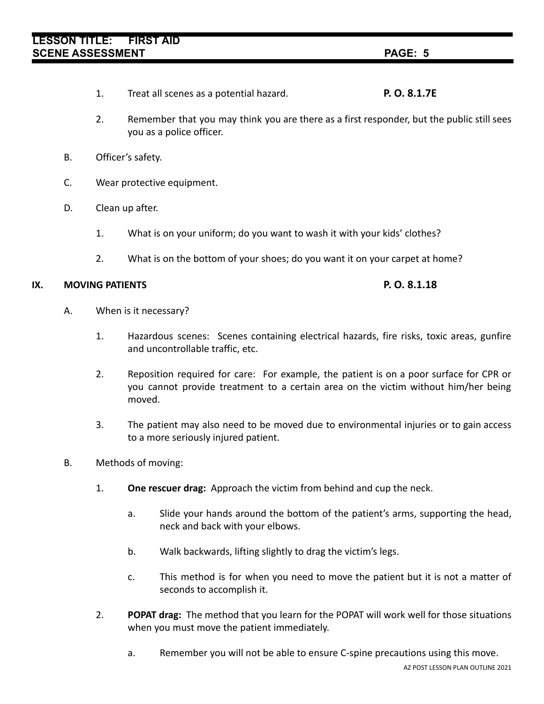- 1. Treat all scenes as a potential hazard. **P. O. 8.1.7E**
- 2. Remember that you may think you are there as a first responder, but the public still sees you as a police officer.
- B. Officer's safety.
- C. Wear protective equipment.
- D. Clean up after.
	- 1. What is on your uniform; do you want to wash it with your kids' clothes?
	- 2. What is on the bottom of your shoes; do you want it on your carpet at home?

### **IX. MOVING PATIENTS P. O. 8.1.18**

- A. When is it necessary?
	- 1. Hazardous scenes: Scenes containing electrical hazards, fire risks, toxic areas, gunfire and uncontrollable traffic, etc.
	- 2. Reposition required for care: For example, the patient is on a poor surface for CPR or you cannot provide treatment to a certain area on the victim without him/her being moved.
	- 3. The patient may also need to be moved due to environmental injuries or to gain access to a more seriously injured patient.
- B. Methods of moving:
	- 1. **One rescuer drag:** Approach the victim from behind and cup the neck.
		- a. Slide your hands around the bottom of the patient's arms, supporting the head, neck and back with your elbows.
		- b. Walk backwards, lifting slightly to drag the victim's legs.
		- c. This method is for when you need to move the patient but it is not a matter of seconds to accomplish it.
	- 2. **POPAT drag:** The method that you learn for the POPAT will work well for those situations when you must move the patient immediately.
		- a. Remember you will not be able to ensure C-spine precautions using this move.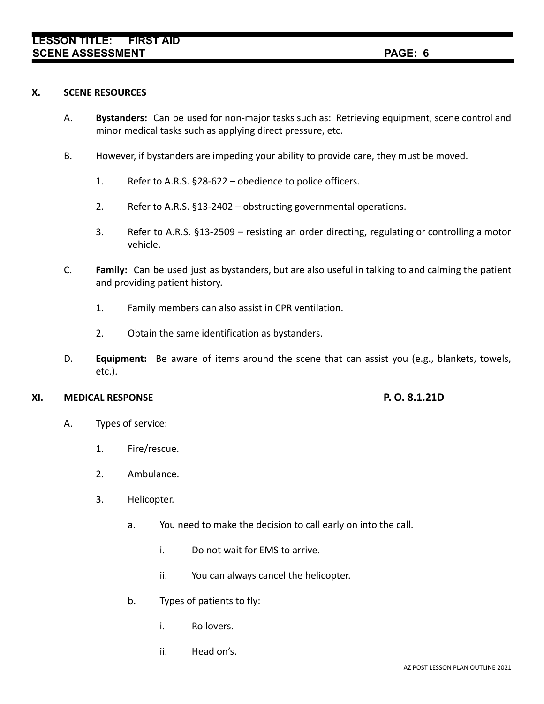#### **X. SCENE RESOURCES**

- A. **Bystanders:** Can be used for non-major tasks such as: Retrieving equipment, scene control and minor medical tasks such as applying direct pressure, etc.
- B. However, if bystanders are impeding your ability to provide care, they must be moved.
	- 1. Refer to A.R.S. §28-622 obedience to police officers.
	- 2. Refer to A.R.S. §13-2402 obstructing governmental operations.
	- 3. Refer to A.R.S. §13-2509 resisting an order directing, regulating or controlling a motor vehicle.
- C. **Family:** Can be used just as bystanders, but are also useful in talking to and calming the patient and providing patient history.
	- 1. Family members can also assist in CPR ventilation.
	- 2. Obtain the same identification as bystanders.
- D. **Equipment:** Be aware of items around the scene that can assist you (e.g., blankets, towels, etc.).

#### **XI. MEDICAL RESPONSE P. O. 8.1.21D**

- A. Types of service:
	- 1. Fire/rescue.
	- 2. Ambulance.
	- 3. Helicopter.
		- a. You need to make the decision to call early on into the call.
			- i. Do not wait for EMS to arrive.
			- ii. You can always cancel the helicopter.
		- b. Types of patients to fly:
			- i. Rollovers.
			- ii. Head on's.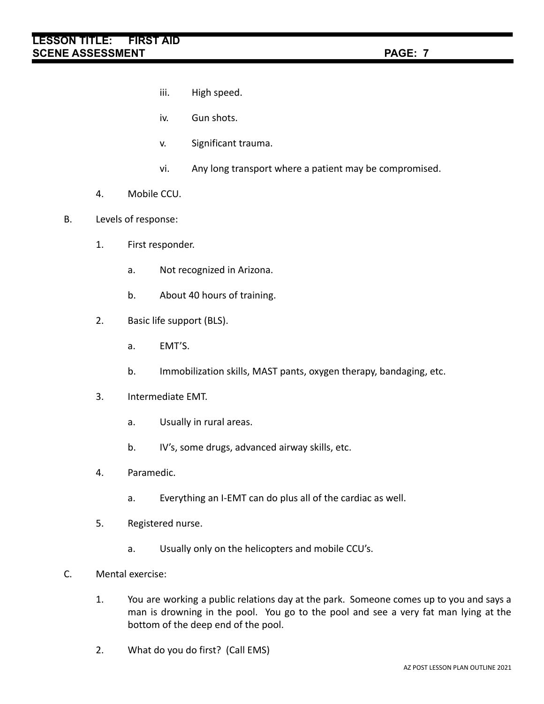- iii. High speed.
- iv. Gun shots.
- v. Significant trauma.
- vi. Any long transport where a patient may be compromised.
- 4. Mobile CCU.
- B. Levels of response:
	- 1. First responder.
		- a. Not recognized in Arizona.
		- b. About 40 hours of training.
	- 2. Basic life support (BLS).
		- a. EMT'S.
		- b. Immobilization skills, MAST pants, oxygen therapy, bandaging, etc.
	- 3. Intermediate EMT.
		- a. Usually in rural areas.
		- b. IV's, some drugs, advanced airway skills, etc.
	- 4. Paramedic.
		- a. Everything an I-EMT can do plus all of the cardiac as well.
	- 5. Registered nurse.
		- a. Usually only on the helicopters and mobile CCU's.
- C. Mental exercise:
	- 1. You are working a public relations day at the park. Someone comes up to you and says a man is drowning in the pool. You go to the pool and see a very fat man lying at the bottom of the deep end of the pool.
	- 2. What do you do first? (Call EMS)